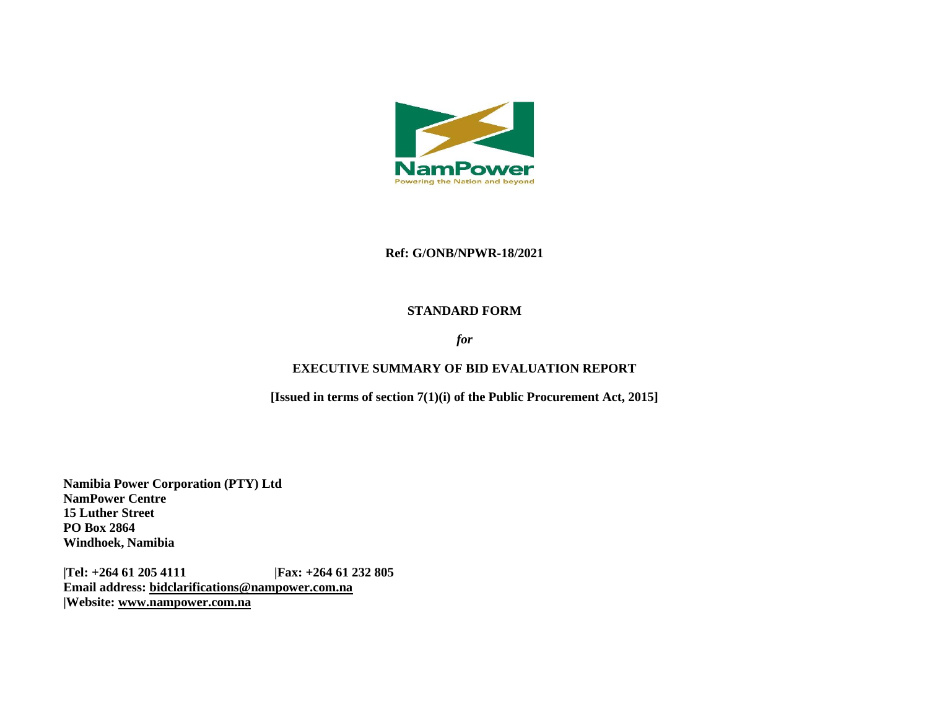

#### **Ref: G/ONB/NPWR-18/2021**

#### **STANDARD FORM**

### *for*

### **EXECUTIVE SUMMARY OF BID EVALUATION REPORT**

**[Issued in terms of section 7(1)(i) of the Public Procurement Act, 2015]** 

**Namibia Power Corporation (PTY) Ltd NamPower Centre 15 Luther Street PO Box 2864 Windhoek, Namibia**

**|Tel: +264 61 205 4111 |Fax: +264 61 232 805 Email address: [bidclarifications@nampower.com.na](mailto:bidclarifications@nampower.com.na) |Website: [www.n](http://www./)ampower.com.na**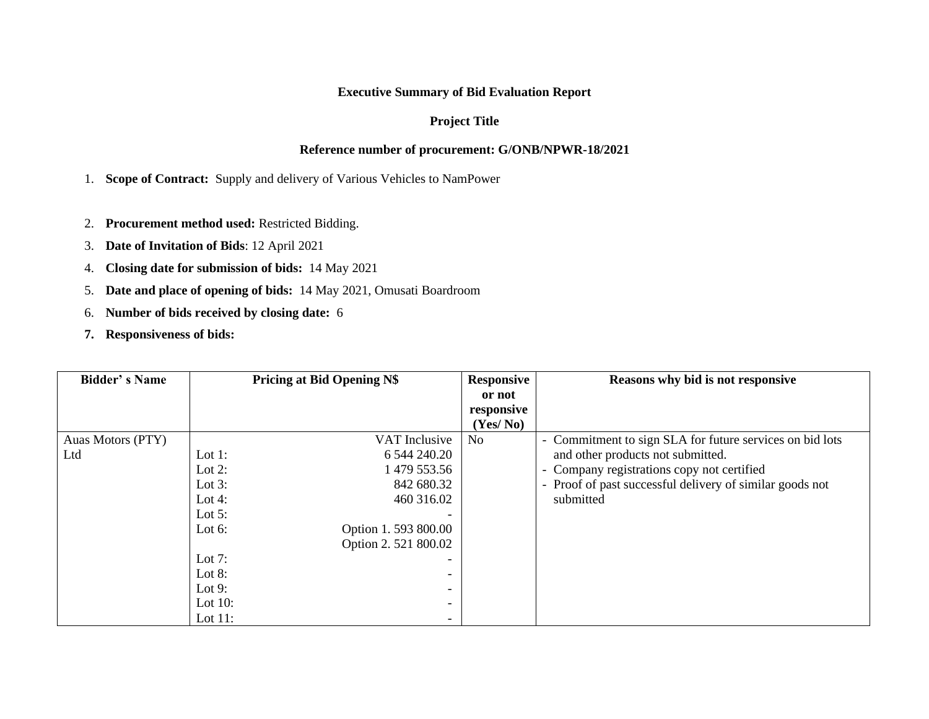## **Executive Summary of Bid Evaluation Report**

## **Project Title**

### **Reference number of procurement: G/ONB/NPWR-18/2021**

1. **Scope of Contract:** Supply and delivery of Various Vehicles to NamPower

- 2. **Procurement method used:** Restricted Bidding.
- 3. **Date of Invitation of Bids**: 12 April 2021
- 4. **Closing date for submission of bids:** 14 May 2021
- 5. **Date and place of opening of bids:** 14 May 2021, Omusati Boardroom
- 6. **Number of bids received by closing date:** 6
- **7. Responsiveness of bids:**

| <b>Bidder's Name</b> | <b>Pricing at Bid Opening N\$</b> |                          | <b>Responsive</b> | Reasons why bid is not responsive                        |  |
|----------------------|-----------------------------------|--------------------------|-------------------|----------------------------------------------------------|--|
|                      |                                   |                          | or not            |                                                          |  |
|                      |                                   |                          | responsive        |                                                          |  |
|                      |                                   |                          | (Yes/No)          |                                                          |  |
| Auas Motors (PTY)    |                                   | VAT Inclusive            | N <sub>0</sub>    | - Commitment to sign SLA for future services on bid lots |  |
| Ltd                  | Lot $1$ :                         | 6 544 240.20             |                   | and other products not submitted.                        |  |
|                      | Lot $2$ :                         | 479 553.56               |                   | - Company registrations copy not certified               |  |
|                      | Lot $3$ :                         | 842 680.32               |                   | - Proof of past successful delivery of similar goods not |  |
|                      | Lot 4:                            | 460 316.02               |                   | submitted                                                |  |
|                      | Lot $5$ :                         |                          |                   |                                                          |  |
|                      | Lot $6:$                          | Option 1.593 800.00      |                   |                                                          |  |
|                      |                                   | Option 2.521 800.02      |                   |                                                          |  |
|                      | Lot $7:$                          |                          |                   |                                                          |  |
|                      | Lot $8:$                          | $\overline{\phantom{0}}$ |                   |                                                          |  |
|                      | Lot $9:$                          |                          |                   |                                                          |  |
|                      | Lot $10$ :                        | $\overline{\phantom{a}}$ |                   |                                                          |  |
|                      | Lot $11$ :                        | $\overline{\phantom{0}}$ |                   |                                                          |  |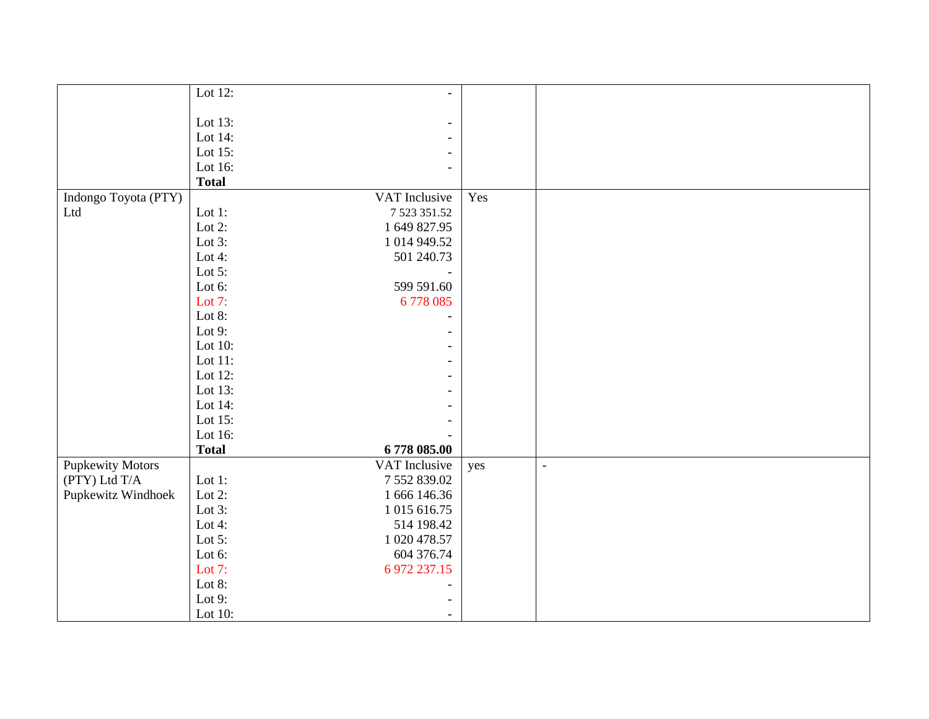|                         | Lot 12:      | $\overline{\phantom{a}}$ |     |                          |
|-------------------------|--------------|--------------------------|-----|--------------------------|
|                         |              |                          |     |                          |
|                         | Lot 13:      | $\overline{\phantom{a}}$ |     |                          |
|                         | Lot 14:      | $\overline{\phantom{a}}$ |     |                          |
|                         | Lot 15:      | $\overline{\phantom{a}}$ |     |                          |
|                         | Lot 16:      | $\overline{\phantom{a}}$ |     |                          |
|                         | <b>Total</b> |                          |     |                          |
| Indongo Toyota (PTY)    |              | VAT Inclusive            | Yes |                          |
| Ltd                     | Lot $1$ :    | 7 523 351.52             |     |                          |
|                         | Lot $2$ :    | 1 649 827.95             |     |                          |
|                         | Lot 3:       | 1 014 949.52             |     |                          |
|                         | Lot 4:       | 501 240.73               |     |                          |
|                         | Lot $5$ :    |                          |     |                          |
|                         | Lot 6:       | 599 591.60               |     |                          |
|                         | Lot $7:$     | 6778085                  |     |                          |
|                         | Lot 8:       | $\overline{\phantom{0}}$ |     |                          |
|                         | Lot $9:$     | -                        |     |                          |
|                         | Lot 10:      | $\overline{\phantom{a}}$ |     |                          |
|                         | Lot 11:      | $\overline{\phantom{a}}$ |     |                          |
|                         | Lot 12:      | $\overline{\phantom{a}}$ |     |                          |
|                         | Lot 13:      | $\overline{\phantom{a}}$ |     |                          |
|                         | Lot 14:      | $\overline{\phantom{0}}$ |     |                          |
|                         | Lot 15:      |                          |     |                          |
|                         | Lot 16:      |                          |     |                          |
|                         | <b>Total</b> | 6778 085.00              |     |                          |
| <b>Pupkewity Motors</b> |              | VAT Inclusive            | yes | $\overline{\phantom{a}}$ |
| (PTY) Ltd T/A           | Lot $1$ :    | 7 552 839.02             |     |                          |
| Pupkewitz Windhoek      | Lot $2$ :    | 1 666 146.36             |     |                          |
|                         | Lot $3$ :    | 1 015 616.75             |     |                          |
|                         | Lot $4$ :    | 514 198.42               |     |                          |
|                         | Lot $5$ :    | 1 020 478.57             |     |                          |
|                         | Lot 6:       | 604 376.74               |     |                          |
|                         | Lot $7:$     | 6 972 237.15             |     |                          |
|                         | Lot 8:       |                          |     |                          |
|                         | Lot $9:$     |                          |     |                          |
|                         | Lot 10:      | $\overline{\phantom{a}}$ |     |                          |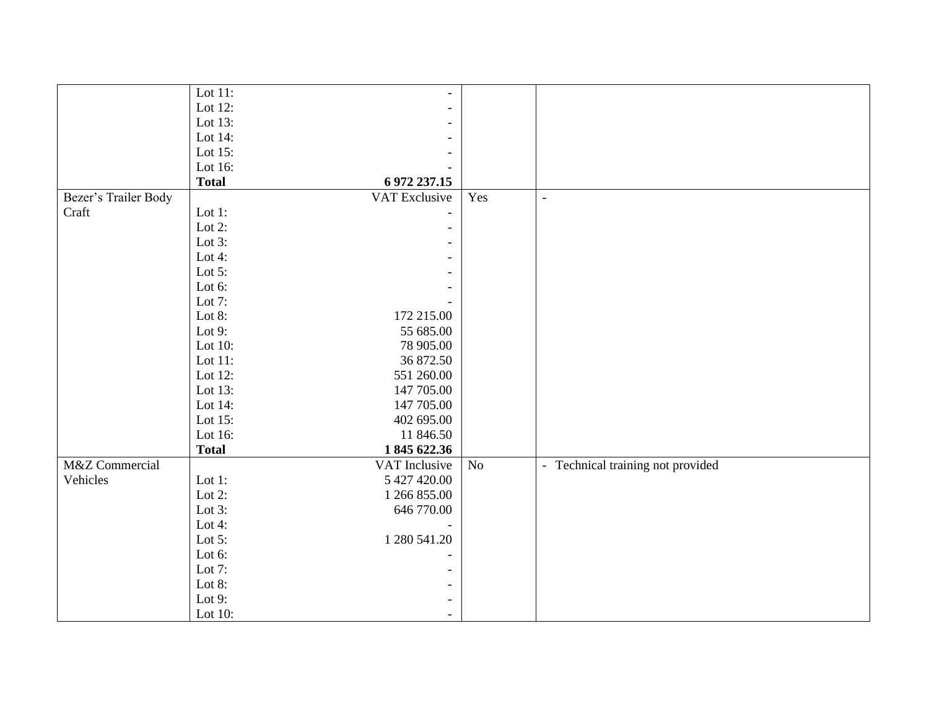|                      | Lot $11$ :   | $\overline{\phantom{a}}$ |          |                                   |
|----------------------|--------------|--------------------------|----------|-----------------------------------|
|                      | Lot 12:      | $\overline{\phantom{a}}$ |          |                                   |
|                      | Lot 13:      | $\blacksquare$           |          |                                   |
|                      | Lot 14:      | $\overline{\phantom{a}}$ |          |                                   |
|                      | Lot 15:      |                          |          |                                   |
|                      | Lot 16:      |                          |          |                                   |
|                      | <b>Total</b> | 6 972 237.15             |          |                                   |
| Bezer's Trailer Body |              | VAT Exclusive            | Yes      | $\blacksquare$                    |
| Craft                | Lot $1$ :    |                          |          |                                   |
|                      | Lot $2$ :    |                          |          |                                   |
|                      | Lot $3$ :    |                          |          |                                   |
|                      | Lot $4$ :    | $\blacksquare$           |          |                                   |
|                      | Lot $5$ :    | $\overline{\phantom{a}}$ |          |                                   |
|                      | Lot 6:       |                          |          |                                   |
|                      | Lot 7:       |                          |          |                                   |
|                      | Lot 8:       | 172 215.00               |          |                                   |
|                      | Lot $9:$     | 55 685.00                |          |                                   |
|                      | Lot $10$ :   | 78 905.00                |          |                                   |
|                      | Lot $11$ :   | 36 872.50                |          |                                   |
|                      | Lot 12:      | 551 260.00               |          |                                   |
|                      | Lot 13:      | 147 705.00               |          |                                   |
|                      | Lot 14:      | 147 705.00               |          |                                   |
|                      | Lot 15:      | 402 695.00               |          |                                   |
|                      | Lot 16:      | 11 846.50                |          |                                   |
|                      | <b>Total</b> | 1845 622.36              |          |                                   |
| M&Z Commercial       |              | VAT Inclusive            | $\rm No$ | - Technical training not provided |
| Vehicles             | Lot $1$ :    | 5 427 420.00             |          |                                   |
|                      | Lot $2$ :    | 1 266 855.00             |          |                                   |
|                      | Lot $3$ :    | 646 770.00               |          |                                   |
|                      | Lot $4$ :    |                          |          |                                   |
|                      | Lot $5$ :    | 1 280 541.20             |          |                                   |
|                      | Lot 6:       |                          |          |                                   |
|                      | Lot $7:$     | $\overline{a}$           |          |                                   |
|                      | Lot 8:       | $\overline{\phantom{a}}$ |          |                                   |
|                      | Lot $9:$     | $\overline{\phantom{a}}$ |          |                                   |
|                      | Lot 10:      | $\overline{\phantom{a}}$ |          |                                   |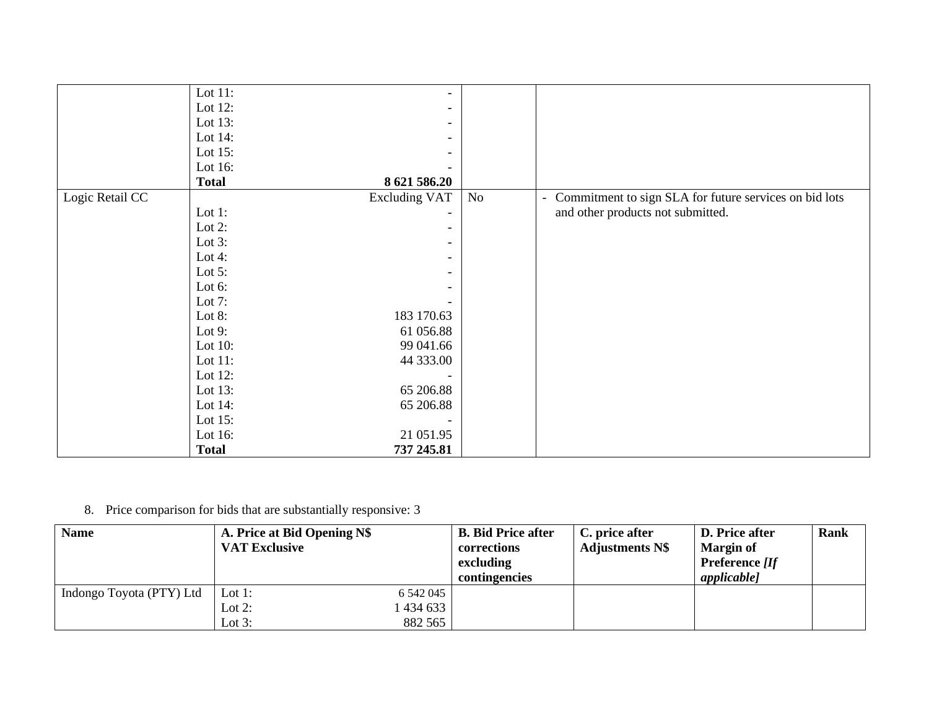|                 | Lot $14$ :<br>Lot $15$ : | 65 206.88                                        |    |                                                                                                               |
|-----------------|--------------------------|--------------------------------------------------|----|---------------------------------------------------------------------------------------------------------------|
|                 | Lot 12:<br>Lot $13$ :    | 65 206.88                                        |    |                                                                                                               |
|                 | Lot $11$ :               | 44 333.00                                        |    |                                                                                                               |
|                 | Lot $10$ :               | 99 041.66                                        |    |                                                                                                               |
|                 | Lot $9:$                 | 61 056.88                                        |    |                                                                                                               |
|                 | Lot $8$ :                | 183 170.63                                       |    |                                                                                                               |
|                 | Lot $7:$                 |                                                  |    |                                                                                                               |
|                 | Lot $6$ :                | $\overline{\phantom{a}}$                         |    |                                                                                                               |
|                 | Lot $5$ :                | $\overline{\phantom{a}}$                         |    |                                                                                                               |
|                 | Lot 4:                   | $\overline{\phantom{a}}$                         |    |                                                                                                               |
|                 | Lot $3$ :                | $\overline{\phantom{a}}$                         |    |                                                                                                               |
|                 | Lot $2$ :                | $\overline{\phantom{a}}$                         |    |                                                                                                               |
| Logic Retail CC | Lot $1$ :                | <b>Excluding VAT</b><br>$\overline{\phantom{0}}$ | No | Commitment to sign SLA for future services on bid lots<br>$\blacksquare$<br>and other products not submitted. |
|                 | <b>Total</b>             | 8 621 586.20                                     |    |                                                                                                               |
|                 | Lot 16:                  |                                                  |    |                                                                                                               |
|                 | Lot $15$ :               | $\overline{\phantom{a}}$                         |    |                                                                                                               |
|                 | Lot $14$ :               | $\overline{\phantom{a}}$                         |    |                                                                                                               |
|                 | Lot $13$ :               | $\overline{\phantom{a}}$                         |    |                                                                                                               |
|                 | Lot $12$ :               | $\overline{\phantom{a}}$                         |    |                                                                                                               |
|                 | Lot $11$ :               | $\overline{\phantom{0}}$                         |    |                                                                                                               |

8. Price comparison for bids that are substantially responsive: 3

| <b>Name</b>              | A. Price at Bid Opening N\$<br><b>VAT Exclusive</b> |                                 | <b>B.</b> Bid Price after<br>corrections<br>excluding<br>contingencies | C. price after<br><b>Adjustments N\$</b> | <b>D.</b> Price after<br><b>Margin of</b><br><b>Preference</b> <i>[If</i><br><i>applicable]</i> | <b>Rank</b> |
|--------------------------|-----------------------------------------------------|---------------------------------|------------------------------------------------------------------------|------------------------------------------|-------------------------------------------------------------------------------------------------|-------------|
| Indongo Toyota (PTY) Ltd | Lot 1:<br>Lot $2$ :<br>Lot $3:$                     | 6 542 045<br>434 633<br>882 565 |                                                                        |                                          |                                                                                                 |             |